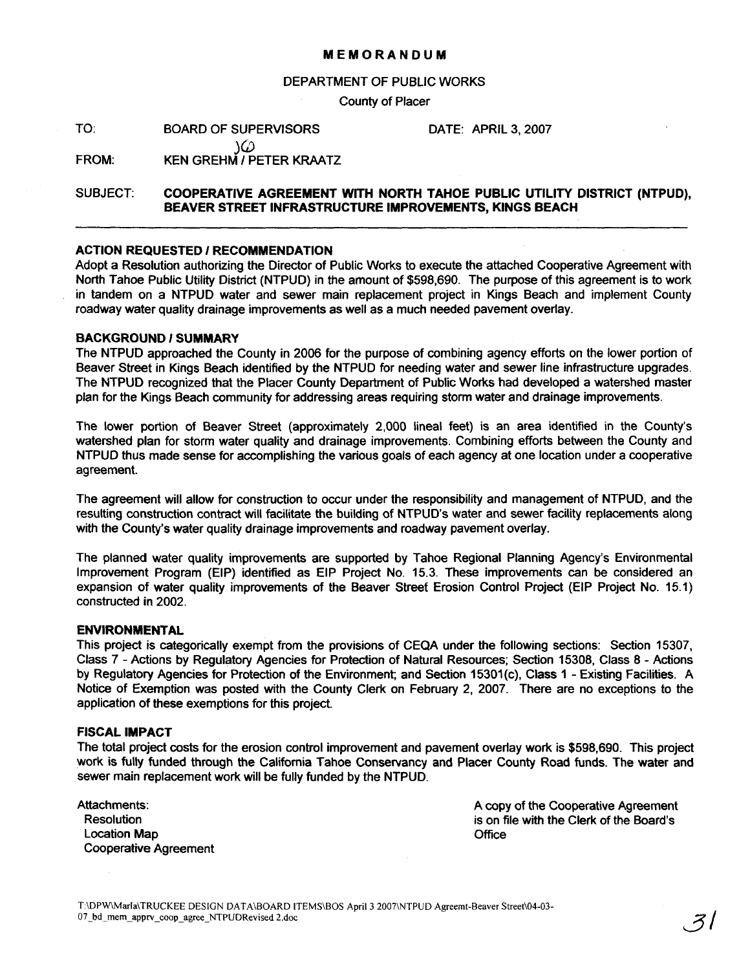## **MEMORANDUM**

## DEPARTMENT OF PUBLIC WORKS

County of Placer

TO: BOARD OF SUPERVISORS

DATE: APRIL 3,2007

س<br>FROM: **XEN GREHM / PETER KRAATZ** 

# SUBJECT: **COOPERATIVE AGREEMENT WITH NORTH TAHOE PUBLIC UTILITY DISTRICT (NTPUD), BEAVER STREET INFRASTRUCTURE IMPROVEMENTS, KINGS BEACH**

## **ACTION REQUESTED** I **RECOMMENDATION**

Adopt a Resolution authorizing the Director of Public Works to execute the attached Cooperative Agreement with North Tahoe Public Utility District (NTPUD) in the amount of \$598,690. The purpose of this agreement is to work in tandem on a NTPUD water and sewer main replacement project in Kings Beach and implement County roadway water quality drainage improvements as well as a much needed pavement overlay.

#### **BACKGROUND 1 SUMMARY**

The NTPUD approached the County in 2006 for the purpose of combining agency efforts on the lower portion of Beaver Street in Kings Beach identified by the NTPUD for needing water and sewer line infrastructure upgrades. The NTPUD recognized that the Placer County Department of Public Works had developed a watershed master plan for the Kings Beach community for addressing areas requiring storm water and drainage improvements.

The lower portion of Beaver Street (approximately 2,000 lineal feet) is an area identified in the County's watershed plan for storm water quality and drainage improvements. Combining efforts between the County and NTPUD thus made sense for accomplishing the various goals of each agency at one location under a cooperative agreement.

The agreement will allow for construction to occur under the responsibility and management of NTPUD, and the resulting construction contract will facilitate the building of NTPUD's water and sewer facility replacements along with the County's water quality drainage improvements and roadway pavement overlay.

The planned water quality improvements are supported by Tahoe Regional Planning Agency's Environmental Improvement Program (EIP) identified as EIP Project No. 15.3. These improvements can be considered an expansion of water quality improvements of the Beaver Street Erosion Control Project (EIP Project No. 15.1) constructed in 2002.

#### **ENVIRONMENTAL**

This project is categorically exempt from the provisions of CEQA under the following sections: Section 15307, Class 7 - Actions by Regulatory Agencies for Protection of Natural Resources; Section 15308, Class 8 - Actions by Regulatory Agencies for Protection of the Environment; and Section 15301(c), Class 1 - Existing Facilities. A Notice of Exemption was posted with the County Clerk on February 2, 2007. There are no exceptions to the application of these exemptions for this project.

#### **FISCAL IMPACT**

The total project costs for the erosion control improvement and pavement overlay work is \$598,690. This project work is fully funded through the California Tahoe Conservancy and Placer County Road funds. The water and sewer main replacement work will be fully funded by the NTPUD.

| Attachments:                 |
|------------------------------|
| Resolution                   |
| Location Map                 |
| <b>Cooperative Agreement</b> |

A copy of the Cooperative Agreement is on file with the Clerk of the Board's **Office**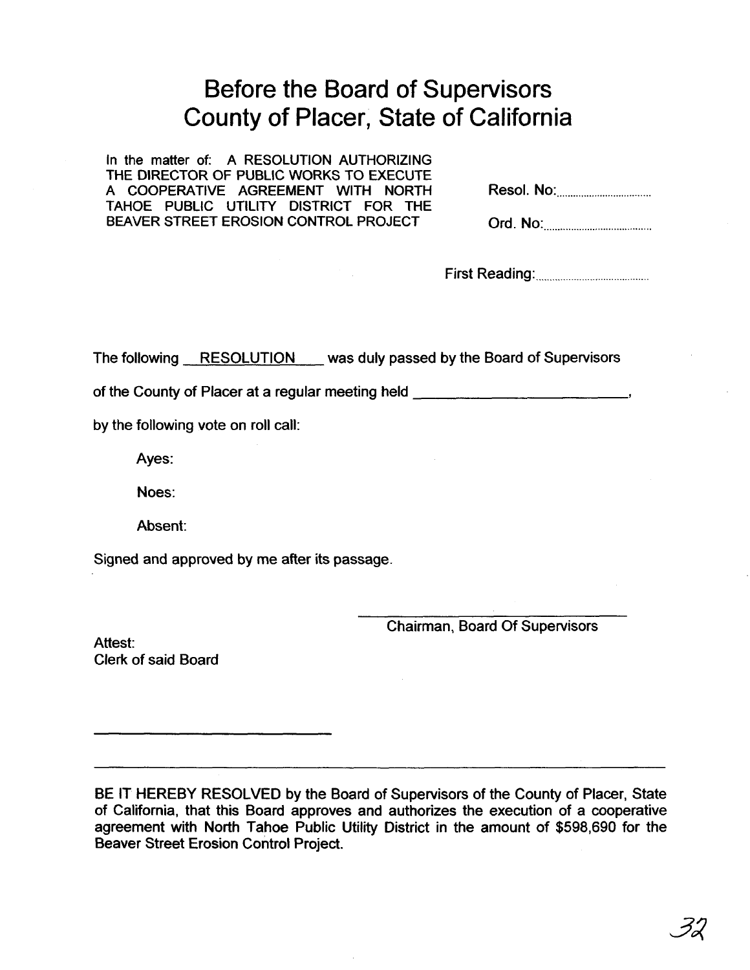# Before the Board of Supervisors County of Placer, State of California

In the matter of: A RESOLUTION AUTHORIZING THE DIRECTOR OF PUBLIC WORKS TO EXECUTE A COOPERATIVE AGREEMENT WITH NORTH TAHOE PUBLIC UTILITY DISTRICT FOR THE BEAVER STREET EROSION CONTROL PROJECT

| Resol. No: |  |
|------------|--|
|------------|--|

| Ord. No: |  |
|----------|--|
|          |  |

First Reading: ..........................................

The following RESOLUTION was duly passed by the Board of Supervisors

of the County of Placer at a regular meeting held **I** *I* **Alexander Section** 1 and 1 and 1 and 1 and 1 and 1 and 1 and 1 and 1 and 1 and 1 and 1 and 1 and 1 and 1 and 1 and 1 and 1 and 1 and 1 and 1 and 1 and 1 and 1 and 1

by the following vote on roll call:

Ayes:

Noes:

Absent:

Signed and approved by me after its passage.

Chairman, Board Of Supervisors

Attest: Clerk of said Board

BE IT HEREBY RESOLVED by the Board of Supervisors of the County of Placer, State of California, that this Board approves and authorizes the execution of a cooperative agreement with North Tahoe Public Utility District in the amount of **\$598,690** for the Beaver Street Erosion Control Project.